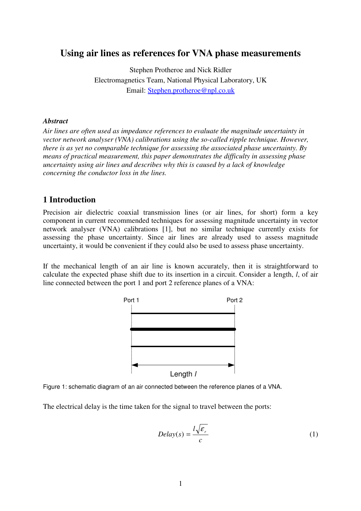# **Using air lines as references for VNA phase measurements**

Stephen Protheroe and Nick Ridler Electromagnetics Team, National Physical Laboratory, UK Email: Stephen.protheroe@npl.co.uk

#### *Abstract*

*Air lines are often used as impedance references to evaluate the magnitude uncertainty in vector network analyser (VNA) calibrations using the so-called ripple technique. However, there is as yet no comparable technique for assessing the associated phase uncertainty. By means of practical measurement, this paper demonstrates the difficulty in assessing phase uncertainty using air lines and describes why this is caused by a lack of knowledge concerning the conductor loss in the lines.*

#### **1 Introduction**

Precision air dielectric coaxial transmission lines (or air lines, for short) form a key component in current recommended techniques for assessing magnitude uncertainty in vector network analyser (VNA) calibrations [1], but no similar technique currently exists for assessing the phase uncertainty. Since air lines are already used to assess magnitude uncertainty, it would be convenient if they could also be used to assess phase uncertainty.

If the mechanical length of an air line is known accurately, then it is straightforward to calculate the expected phase shift due to its insertion in a circuit. Consider a length, *l*, of air line connected between the port 1 and port 2 reference planes of a VNA:





The electrical delay is the time taken for the signal to travel between the ports:

$$
Delay(s) = \frac{l\sqrt{\varepsilon_r}}{c}
$$
 (1)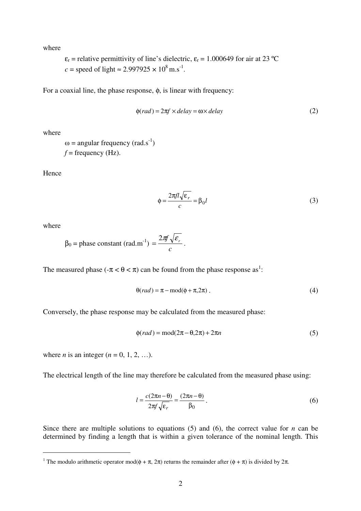where

 $\varepsilon_r$  = relative permittivity of line's dielectric,  $\varepsilon_r$  = 1.000649 for air at 23 °C  $c =$  speed of light  $\approx 2.997925 \times 10^8 \text{ m.s}^{-1}$ .

For a coaxial line, the phase response, φ, is linear with frequency:

$$
\phi(rad) = 2\pi f \times delay = \omega \times delay \tag{2}
$$

where

 $\omega$  = angular frequency (rad.s<sup>-1</sup>)  $f = \text{frequency (Hz)}$ .

Hence

$$
\phi = \frac{2\pi f l \sqrt{\epsilon_r}}{c} = \beta_0 l \tag{3}
$$

where

$$
\beta_0 = \text{phase constant (rad.m}^{-1}) = \frac{2\pi f \sqrt{\varepsilon_r}}{c}.
$$

The measured phase  $(-\pi < \theta < \pi)$  can be found from the phase response as<sup>1</sup>:

$$
\Theta(rad) = \pi - \text{mod}(\phi + \pi, 2\pi). \tag{4}
$$

Conversely, the phase response may be calculated from the measured phase:

$$
\phi(rad) = \text{mod}(2\pi - \theta, 2\pi) + 2\pi n \tag{5}
$$

where *n* is an integer  $(n = 0, 1, 2, ...)$ .

The electrical length of the line may therefore be calculated from the measured phase using:

$$
l = \frac{c(2\pi n - \theta)}{2\pi f \sqrt{\epsilon_r}} = \frac{(2\pi n - \theta)}{\beta_0}.
$$
 (6)

Since there are multiple solutions to equations  $(5)$  and  $(6)$ , the correct value for *n* can be determined by finding a length that is within a given tolerance of the nominal length. This

<sup>&</sup>lt;sup>1</sup> The modulo arithmetic operator mod( $\phi + \pi$ ,  $2\pi$ ) returns the remainder after ( $\phi + \pi$ ) is divided by  $2\pi$ .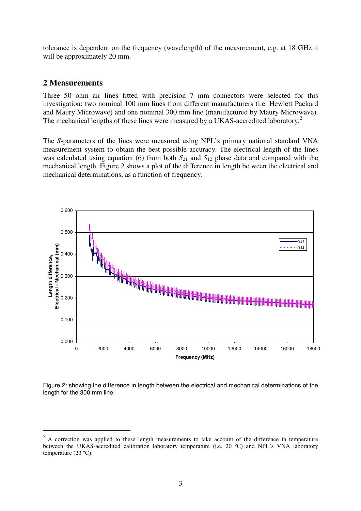tolerance is dependent on the frequency (wavelength) of the measurement, e.g. at 18 GHz it will be approximately 20 mm.

#### **2 Measurements**

Three 50 ohm air lines fitted with precision 7 mm connectors were selected for this investigation: two nominal 100 mm lines from different manufacturers (i.e. Hewlett Packard and Maury Microwave) and one nominal 300 mm line (manufactured by Maury Microwave). The mechanical lengths of these lines were measured by a UKAS-accredited laboratory.<sup>2</sup>

The *S*-parameters of the lines were measured using NPL's primary national standard VNA measurement system to obtain the best possible accuracy. The electrical length of the lines was calculated using equation (6) from both  $S_{21}$  and  $S_{12}$  phase data and compared with the mechanical length. Figure 2 shows a plot of the difference in length between the electrical and mechanical determinations, as a function of frequency.



Figure 2: showing the difference in length between the electrical and mechanical determinations of the length for the 300 mm line.

<sup>&</sup>lt;sup>2</sup> A correction was applied to these length measurements to take account of the difference in temperature between the UKAS-accredited calibration laboratory temperature (i.e. 20 ºC) and NPL's VNA laboratory temperature (23 ºC).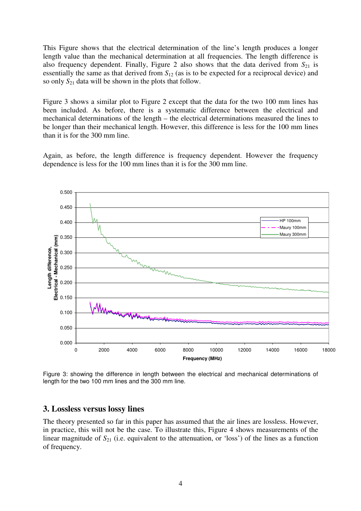This Figure shows that the electrical determination of the line's length produces a longer length value than the mechanical determination at all frequencies. The length difference is also frequency dependent. Finally, Figure 2 also shows that the data derived from  $S_{21}$  is essentially the same as that derived from *S*<sup>12</sup> (as is to be expected for a reciprocal device) and so only *S*<sup>21</sup> data will be shown in the plots that follow.

Figure 3 shows a similar plot to Figure 2 except that the data for the two 100 mm lines has been included. As before, there is a systematic difference between the electrical and mechanical determinations of the length – the electrical determinations measured the lines to be longer than their mechanical length. However, this difference is less for the 100 mm lines than it is for the 300 mm line.

Again, as before, the length difference is frequency dependent. However the frequency dependence is less for the 100 mm lines than it is for the 300 mm line.



Figure 3: showing the difference in length between the electrical and mechanical determinations of length for the two 100 mm lines and the 300 mm line.

### **3. Lossless versus lossy lines**

The theory presented so far in this paper has assumed that the air lines are lossless. However, in practice, this will not be the case. To illustrate this, Figure 4 shows measurements of the linear magnitude of  $S_{21}$  (i.e. equivalent to the attenuation, or 'loss') of the lines as a function of frequency.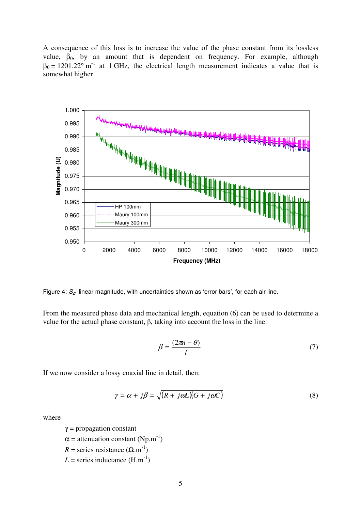A consequence of this loss is to increase the value of the phase constant from its lossless value,  $\beta_0$ , by an amount that is dependent on frequency. For example, although  $\beta_0 = 1201.22$ ° m<sup>-1</sup> at 1 GHz, the electrical length measurement indicates a value that is somewhat higher.



Figure 4:  $S_{21}$  linear magnitude, with uncertainties shown as 'error bars', for each air line.

From the measured phase data and mechanical length, equation (6) can be used to determine a value for the actual phase constant,  $\beta$ , taking into account the loss in the line:

$$
\beta = \frac{(2\pi n - \theta)}{l} \tag{7}
$$

If we now consider a lossy coaxial line in detail, then:

$$
\gamma = \alpha + j\beta = \sqrt{(R + j\omega L)(G + j\omega C)}
$$
\n(8)

where

 $\gamma$  = propagation constant  $\alpha$  = attenuation constant (Np.m<sup>-1</sup>)  $R =$  series resistance  $(\Omega.m^{-1})$  $L =$  series inductance  $(H.m^{-1})$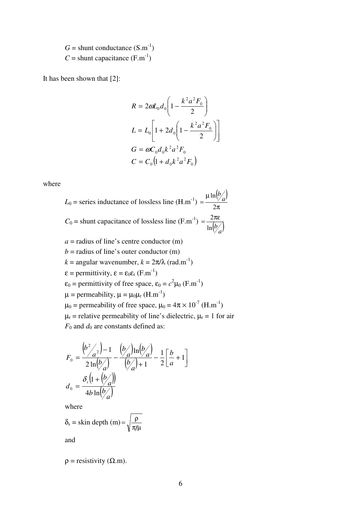$G =$ shunt conductance  $(S.m^{-1})$  $C =$ shunt capacitance  $(F.m^{-1})$ 

It has been shown that [2]:

$$
R = 2\omega L_0 d_0 \left( 1 - \frac{k^2 a^2 F_0}{2} \right)
$$
  
\n
$$
L = L_0 \left[ 1 + 2d_0 \left( 1 - \frac{k^2 a^2 F_0}{2} \right) \right]
$$
  
\n
$$
G = \omega C_0 d_0 k^2 a^2 F_0
$$
  
\n
$$
C = C_0 \left( 1 + d_0 k^2 a^2 F_0 \right)
$$

where

 $L_0$  = series inductance of lossless line  $(H.m^{-1})$  $\binom{b}{a}$ π  $\mu$ = 2  $\ln \frac{b}{a}$ *b*  $C_0$  = shunt capacitance of lossless line  $(F.m^{-1})$  $\ln \left( \frac{b}{a} \right)$  $=\frac{2\pi\varepsilon}{l}$  $a =$  radius of line's centre conductor  $(m)$  $b =$  radius of line's outer conductor (m)  $k = \text{angular wavenumber}, k = 2\pi/\lambda \text{ (rad.m}^{-1)}$  $\varepsilon$  = permittivity,  $\varepsilon = \varepsilon_0 \varepsilon_r$  (F.m<sup>-1</sup>)  $\varepsilon_0$  = permittivity of free space,  $\varepsilon_0 = c^2 \mu_0$  (F.m<sup>-1</sup>)  $\mu$  = permeability,  $\mu = \mu_0 \mu_r$  (H.m<sup>-1</sup>)  $\mu_0$  = permeability of free space,  $\mu_0 = 4\pi \times 10^{-7}$  (H.m<sup>-1</sup>)  $\mu_r$  = relative permeability of line's dielectric,  $\mu_r$  = 1 for air  $F_0$  and  $d_0$  are constants defined as:

$$
F_0 = \frac{\left(\frac{b^2}{a^2}\right) - 1}{2\ln\left(\frac{b}{a}\right)} - \frac{\left(\frac{b}{a}\right)\ln\left(\frac{b}{a}\right)}{\left(\frac{b}{a}\right) + 1} - \frac{1}{2}\left[\frac{b}{a} + 1\right]
$$

$$
d_0 = \frac{\delta_s\left(1 + \left(\frac{b}{a}\right)\right)}{4b\ln\left(\frac{b}{a}\right)}
$$

where

 $\mathbb{Z}$ 

 $\mathbf{r}$ 

$$
\delta_{s} = \text{skin depth (m)} = \sqrt{\frac{\rho}{\pi f \mu}}
$$

and

 $\rho$  = resistivity ( $\Omega$ .m).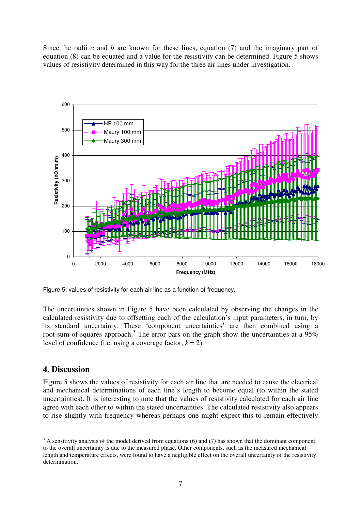Since the radii *a* and *b* are known for these lines, equation (7) and the imaginary part of equation (8) can be equated and a value for the resistivity can be determined. Figure 5 shows values of resistivity determined in this way for the three air lines under investigation.



Figure 5: values of resistivity for each air line as a function of frequency.

The uncertainties shown in Figure 5 have been calculated by observing the changes in the calculated resistivity due to offsetting each of the calculation's input parameters, in turn, by its standard uncertainty. These 'component uncertainties' are then combined using a root-sum-of-squares approach.<sup>3</sup> The error bars on the graph show the uncertainties at a  $95\%$ level of confidence (i.e. using a coverage factor,  $k = 2$ ).

## **4. Discussion**

Figure 5 shows the values of resistivity for each air line that are needed to cause the electrical and mechanical determinations of each line's length to become equal (to within the stated uncertainties). It is interesting to note that the values of resistivity calculated for each air line agree with each other to within the stated uncertainties. The calculated resistivity also appears to rise slightly with frequency whereas perhaps one might expect this to remain effectively

 $3$  A sensitivity analysis of the model derived from equations (6) and (7) has shown that the dominant component to the overall uncertainty is due to the measured phase. Other components, such as the measured mechanical length and temperature effects, were found to have a negligible effect on the overall uncertainty of the resistivity determination.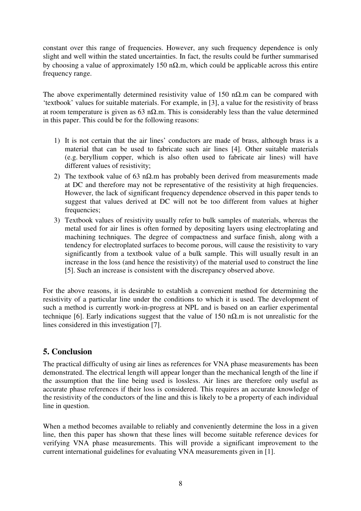constant over this range of frequencies. However, any such frequency dependence is only slight and well within the stated uncertainties. In fact, the results could be further summarised by choosing a value of approximately 150 n $\Omega$ .m, which could be applicable across this entire frequency range.

The above experimentally determined resistivity value of 150 n $\Omega$ .m can be compared with 'textbook' values for suitable materials. For example, in [3], a value for the resistivity of brass at room temperature is given as 63 n $\Omega$ .m. This is considerably less than the value determined in this paper. This could be for the following reasons:

- 1) It is not certain that the air lines' conductors are made of brass, although brass is a material that can be used to fabricate such air lines [4]. Other suitable materials (e.g. beryllium copper, which is also often used to fabricate air lines) will have different values of resistivity;
- 2) The textbook value of 63 n $\Omega$ .m has probably been derived from measurements made at DC and therefore may not be representative of the resistivity at high frequencies. However, the lack of significant frequency dependence observed in this paper tends to suggest that values derived at DC will not be too different from values at higher frequencies;
- 3) Textbook values of resistivity usually refer to bulk samples of materials, whereas the metal used for air lines is often formed by depositing layers using electroplating and machining techniques. The degree of compactness and surface finish, along with a tendency for electroplated surfaces to become porous, will cause the resistivity to vary significantly from a textbook value of a bulk sample. This will usually result in an increase in the loss (and hence the resistivity) of the material used to construct the line [5]. Such an increase is consistent with the discrepancy observed above.

For the above reasons, it is desirable to establish a convenient method for determining the resistivity of a particular line under the conditions to which it is used. The development of such a method is currently work-in-progress at NPL and is based on an earlier experimental technique [6]. Early indications suggest that the value of 150 n $\Omega$ .m is not unrealistic for the lines considered in this investigation [7].

# **5. Conclusion**

The practical difficulty of using air lines as references for VNA phase measurements has been demonstrated. The electrical length will appear longer than the mechanical length of the line if the assumption that the line being used is lossless. Air lines are therefore only useful as accurate phase references if their loss is considered. This requires an accurate knowledge of the resistivity of the conductors of the line and this is likely to be a property of each individual line in question.

When a method becomes available to reliably and conveniently determine the loss in a given line, then this paper has shown that these lines will become suitable reference devices for verifying VNA phase measurements. This will provide a significant improvement to the current international guidelines for evaluating VNA measurements given in [1].